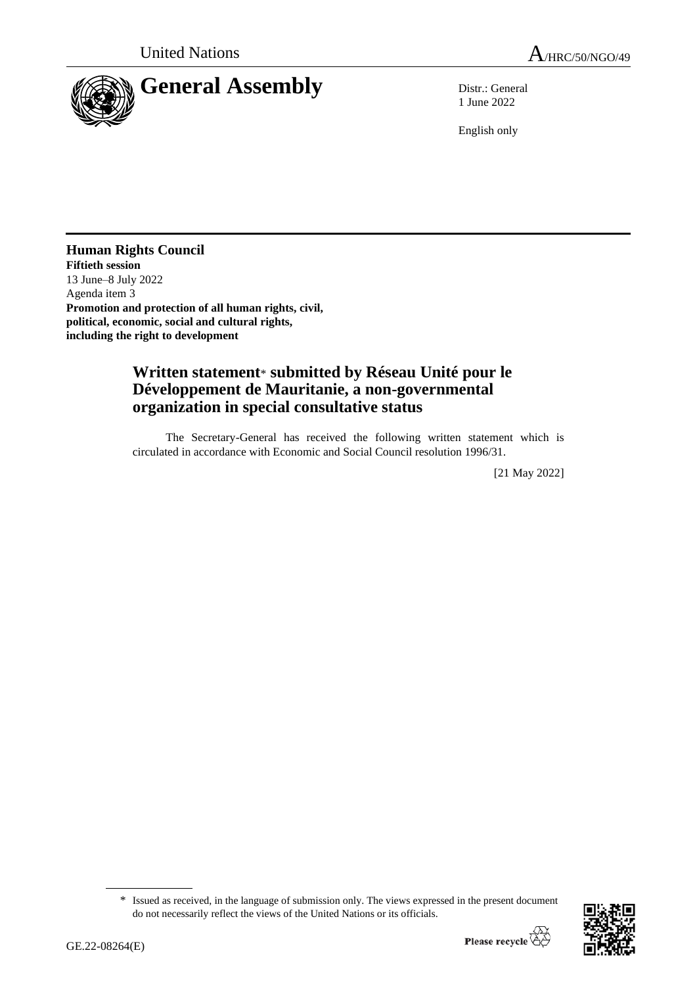

1 June 2022

English only

### **Human Rights Council Fiftieth session** 13 June–8 July 2022 Agenda item 3 **Promotion and protection of all human rights, civil,**

**political, economic, social and cultural rights, including the right to development**

# **Written statement**\* **submitted by Réseau Unité pour le Développement de Mauritanie, a non-governmental organization in special consultative status**

The Secretary-General has received the following written statement which is circulated in accordance with Economic and Social Council resolution 1996/31.

[21 May 2022]

<sup>\*</sup> Issued as received, in the language of submission only. The views expressed in the present document do not necessarily reflect the views of the United Nations or its officials.